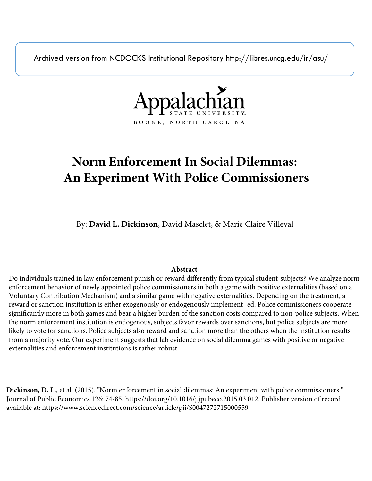Archived version from NCDOCKS Institutional Repository http://libres.uncg.edu/ir/asu/



# **Norm Enforcement In Social Dilemmas: An Experiment With Police Commissioners**

By: **David L. Dickinson**, David Masclet, & Marie Claire Villeval

## **Abstract**

Do individuals trained in law enforcement punish or reward differently from typical student-subjects? We analyze norm enforcement behavior of newly appointed police commissioners in both a game with positive externalities (based on a Voluntary Contribution Mechanism) and a similar game with negative externalities. Depending on the treatment, a reward or sanction institution is either exogenously or endogenously implement- ed. Police commissioners cooperate significantly more in both games and bear a higher burden of the sanction costs compared to non-police subjects. When the norm enforcement institution is endogenous, subjects favor rewards over sanctions, but police subjects are more likely to vote for sanctions. Police subjects also reward and sanction more than the others when the institution results from a majority vote. Our experiment suggests that lab evidence on social dilemma games with positive or negative externalities and enforcement institutions is rather robust.

**Dickinson, D. L.**, et al. (2015). "Norm enforcement in social dilemmas: An experiment with police commissioners." Journal of Public Economics 126: 74-85. https://doi.org/10.1016/j.jpubeco.2015.03.012. Publisher version of record available at: https://www.sciencedirect.com/science/article/pii/S0047272715000559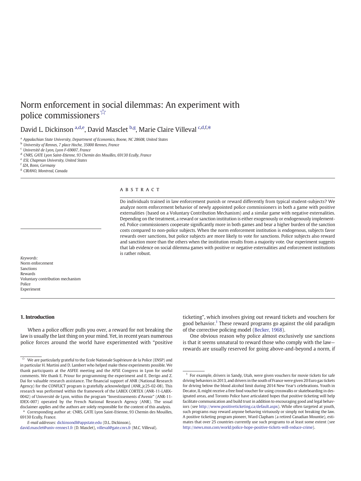# Norm enforcement in social dilemmas: An experiment with police commissioners<sup>☆</sup>

## David L. Dickinson a,d,e, David Masclet b,g, Marie Claire Villeval c,d,f,\*

<sup>a</sup> Appalachian State University, Department of Economics, Boone, NC 28608, United States

**b** University of Rennes, 7 place Hoche, 35000 Rennes, France

<sup>c</sup> Université de Lyon, Lyon F-69007, France

<sup>d</sup> CNRS, GATE Lyon Saint-Etienne, 93 Chemin des Mouilles, 69130 Ecully, France

<sup>e</sup> ESI, Chapman University, United States

<sup>f</sup> IZA, Bonn, Germany

<sup>g</sup> CIRANO, Montreal, Canada

#### **ABSTRACT**

Do individuals trained in law enforcement punish or reward differently from typical student-subjects? We analyze norm enforcement behavior of newly appointed police commissioners in both a game with positive externalities (based on a Voluntary Contribution Mechanism) and a similar game with negative externalities. Depending on the treatment, a reward or sanction institution is either exogenously or endogenously implemented. Police commissioners cooperate significantly more in both games and bear a higher burden of the sanction costs compared to non-police subjects. When the norm enforcement institution is endogenous, subjects favor rewards over sanctions, but police subjects are more likely to vote for sanctions. Police subjects also reward and sanction more than the others when the institution results from a majority vote. Our experiment suggests that lab evidence on social dilemma games with positive or negative externalities and enforcement institutions is rather robust.

Keywords: Norm enforcement Sanctions Rewards Voluntary contribution mechanism Police Experiment

#### 1. Introduction

When a police officer pulls you over, a reward for not breaking the law is usually the last thing on your mind. Yet, in recent years numerous police forces around the world have experimented with "positive

69130 Ecully, France.

ticketing", which involves giving out reward tickets and vouchers for good behavior.<sup>1</sup> These reward programs go against the old paradigm of the corrective policing model [\(Becker, 1968\)](#page-11-0).

One obvious reason why police almost exclusively use sanctions is that it seems unnatural to reward those who comply with the law rewards are usually reserved for going above-and-beyond a norm, if

 $\overrightarrow{a}$  We are particularly grateful to the Ecole Nationale Supérieure de la Police (ENSP) and in particular H. Martini and D. Lambert who helped make these experiments possible. We thank participants at the ASFEE meeting and the AFSE Congress in Lyon for useful comments. We thank E. Priour for programming the experiment and E. Derigo and Z. Dai for valuable research assistance. The financial support of ANR (National Research Agency) for the CONFLICT program is gratefully acknowledged (ANR\_jc25-02-08). This research was performed within the framework of the LABEX CORTEX (ANR-11-LABX-0042) of Université de Lyon, within the program "Investissements d'Avenir" (ANR-11- IDEX-007) operated by the French National Research Agency (ANR). The usual disclaimer applies and the authors are solely responsible for the content of this analysis. ⁎ Corresponding author at: CNRS, GATE Lyon Saint-Etienne, 93 Chemin des Mouilles,

E-mail addresses: [dickinsondl@appstate.edu](mailto:dickinsondl@appstate.edu) (D.L. Dickinson),

[david.masclet@univ-rennes1.fr](mailto:david.masclet@univ-rennes1.fr) (D. Masclet), [villeval@gate.cnrs.fr](mailto:villeval@gate.cnrs.fr) (M.C. Villeval).

<sup>1</sup> For example, drivers in Sandy, Utah, were given vouchers for movie tickets for safe driving behaviors in 2013, and drivers in the south of France were given 20 Euro gas tickets for driving below the blood alcohol limit during 2014 New Year's celebrations. Youth in Decator, IL might receive a free food voucher for using crosswalks or skateboarding in designated areas, and Toronto Police have articulated hopes that positive ticketing will help facilitate communication and build trust in addition to encouraging good and legal behaviors (see [http://www.positiveticketing.ca/default.aspx\)](http://www.positiveticketing.ca/default.aspx). While often targeted at youth, such programs may reward anyone behaving virtuously or simply not breaking the law. A positive ticketing program pioneer, Ward Clapham (a retired Canadian Mountie), estimates that over 25 countries currently use such programs to at least some extent (see [http://news.msn.com/world/police-hope-positive-tickets-will-reduce-crime\)](http://news.msn.com/world/police-hope-positive-tickets-will-reduce-crime).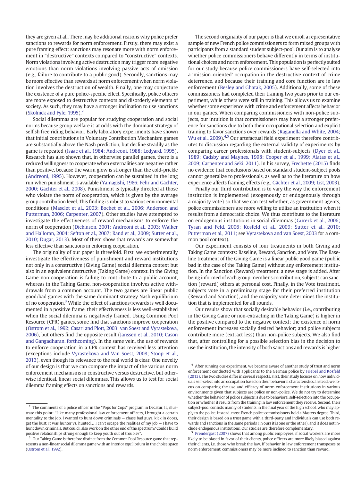they are given at all. There may be additional reasons why police prefer sanctions to rewards for norm enforcement. Firstly, there may exist a pure framing effect: sanctions may resonate more with norm enforcement in "destructive" contexts compared to "constructive" contexts. Norm violations involving active destruction may trigger more negative emotions than norm violations involving passive acts of omission (e.g., failure to contribute to a public good). Secondly, sanctions may be more effective than rewards at norm enforcement when norm violation involves the destruction of wealth. Finally, one may conjecture the existence of a pure police-specific effect. Specifically, police officers are more exposed to destructive contexts and disorderly elements of society. As such, they may have a stronger inclination to use sanctions [\(Skolnick and Fyfe, 1995\)](#page-12-0). $<sup>2</sup>$ </sup>

Social dilemmas are popular for studying cooperation and social norms because group welfare is at odds with the dominant strategy of selfish free riding behavior. Early laboratory experiments have shown that initial contributions in Voluntary Contribution Mechanism games are substantially above the Nash prediction, but decline steadily as the game is repeated ([Isaac et al., 1984; Andreoni, 1988; Ledyard, 1995](#page-12-0)). Research has also shown that, in otherwise parallel games, there is a reduced willingness to cooperate when externalities are negative rather than positive, because the warm glow is stronger than the cold-prickle [\(Andreoni, 1995\)](#page-11-0). However, cooperation can be sustained in the long run when punishment is available [\(Yamagishi, 1986; Fehr and Gächter,](#page-12-0) [2000; Gächter et al., 2008\)](#page-12-0). Punishment is typically directed at those who violate the norm of cooperation, which is given by the average group contribution level. This finding is robust to various environmental conditions [\(Masclet et al., 2003; Bochet et al., 2006; Anderson and](#page-12-0) [Putterman, 2006; Carpenter, 2007](#page-12-0)). Other studies have attempted to investigate the effectiveness of reward mechanisms to enforce the norm of cooperation [\(Dickinson, 2001; Andreoni et al., 2003; Walker](#page-11-0) [and Halloran, 2004; Sefton et al., 2007; Rand et al., 2009; Sutter et al.,](#page-11-0) [2010; Dugar, 2013\)](#page-11-0). Most of them show that rewards are somewhat less effective than sanctions in enforcing cooperation.

The originality of our paper is threefold. First, we experimentally investigate the effectiveness of punishment and reward institutions not only in a constructive (Giving Game) social dilemma context but also in an equivalent destructive (Taking Game) context. In the Giving Game non-cooperation is failing to contribute to a public account, whereas in the Taking Game, non-cooperation involves active withdrawals from a common account. The two games are linear public good/bad games with the same dominant strategy Nash equilibrium of no cooperation.3 While the effect of sanctions/rewards is well documented in a positive frame, their effectiveness is less well-established when the social dilemma is negatively framed. Using Common Pool Resource (CPR) games, some find that sanctions improve cooperation [\(Ostrom et al., 1992; Casari and Plott, 2003; van Soest and Vyrastekova,](#page-12-0) [2006\)](#page-12-0), but others find the opposite result [\(Janssen et al., 2010; Cason](#page-12-0) [and Gangadharan, forthcoming\)](#page-12-0). In the same vein, the use of rewards to enforce cooperation in a CPR context has received less attention (exceptions include [Vyrastekova and Van Soest, 2008; Stoop et al.,](#page-12-0) [2013](#page-12-0)), even though its relevance to the real world is clear. One novelty of our design is that we can compare the impact of the various norm enforcement mechanisms in constructive versus destructive, but otherwise identical, linear social dilemmas. This allows us to test for social dilemma framing effects on sanctions and rewards.

The second originality of our paper is that we enroll a representative sample of new French police commissioners to form mixed groups with participants from a standard student subject-pool. Our aim is to analyze whether police commissioners behave differently in terms of institutional choices and norm enforcement. This population is perfectly suited for our study because police commissioners have self-selected into a 'mission-oriented' occupation in the destructive context of crime deterrence, and because their training and core function are in law enforcement [\(Besley and Ghatak, 2005\)](#page-11-0). Additionally, some of these commissioners had completed their training two years prior to our experiment, while others were still in training. This allows us to examine whether some experience with crime and enforcement affects behavior in our games. When comparing commissioners with non-police subjects, our intuition is that commissioners may have a stronger preference for sanctions due to both their occupational selection and explicit training to favor sanctions over rewards [\(Raganella and White, 2004;](#page-12-0) [Wu et al., 2009\)](#page-12-0).<sup>4,5</sup> Our artefactual field experiment therefore contributes to discussion regarding the external validity of experiments by comparing career professionals with student-subjects ([Dyer et al.,](#page-11-0) [1989; Cadsby and Maynes, 1998; Cooper et al., 1999; Alatas et al.,](#page-11-0) [2009; Carpenter and Seki, 2011\)](#page-11-0). In his survey, [Frechette \(2015\)](#page-12-0) finds no evidence that conclusions based on standard student-subject pools cannot generalize to professionals, as well as to the literature on how experience affects framing effects (e.g., [Gächter et al., 2009; List, 2003](#page-12-0)).

Finally our third contribution is to vary the way the enforcement institution is implemented (exogenously or endogenously through a majority vote) so that we can test whether, as government agents, police commissioners are more willing to utilize an institution when it results from a democratic choice. We thus contribute to the literature on endogenous institutions in social dilemmas ([Gürerk et al., 2006;](#page-12-0) [Tyran and Feld, 2006; Kosfeld et al., 2009; Sutter et al., 2010;](#page-12-0) [Putterman et al., 2011;](#page-12-0) see [Vyrastekova and van Soest, 2003](#page-12-0) for a common pool context).

Our experiment consists of four treatments in both Giving and Taking Game contexts: Baseline, Reward, Sanction, and Vote. The Baseline treatment of the Giving Game is a linear public good game (public bad in the case of the Taking Game) without any enforcement institution. In the Sanction (Reward) treatment, a new stage is added. After being informed of each group member's contribution, subjects can sanction (reward) others at personal cost. Finally, in the Vote treatment, subjects vote in a preliminary stage for their preferred institution (Reward and Sanction), and the majority vote determines the institution that is implemented for all rounds.

Our results show that socially desirable behavior (i.e., contributing in the Giving Game or non-extracting in the Taking Game) is higher in the positive compared to the negative context; the existence of norm enforcement increases socially desired behavior; and police subjects contribute more (extract less) than non-police subjects. We also find that, after controlling for a possible selection bias in the decision to use the institution, the intensity of both sanctions and rewards is higher

 $2$  The comments of a police officer in the "Pops for Cops" program in Decatur, IL, illustrate this point: "Like many professional law enforcement officers, I brought a certain mentality to the job. I wanted to hunt down criminals — chase bad guys, kick in doors, get the bust. It was hunter vs. hunted… I can't escape the realities of my job — I have to hunt down criminals. But could I also work on the other end of the spectrum? Could I build positive relationships strong enough to keep youth out of trouble?".

<sup>&</sup>lt;sup>3</sup> Our Taking Game is therefore distinct from the Common Pool Resource game that represents a non-linear social dilemma game with an interior equilibrium in the choice space [\(Ostrom et al., 1992\)](#page-12-0).

 $4$  After running our experiment, we became aware of another study of trust and norm enforcement conducted with applicants to the German police by [Friebel and Kosfeld](#page-12-0) [\(2013\)](#page-12-0). The two studies differ in several respects. First, their study focuses on how individuals self-select into an occupation based on their behavioral characteristics. Instead, we focus on comparing the use and efficacy of norm enforcement institutions in various environments given that subjects are police or non-police. We do not try to determine whether the behavior of police subjects is due to behavioral self-selection into the occupation or whether it results from the training in law enforcement they receive. Second, their subject-pool consists mainly of students in the final year of the high school, who may apply to the police. Instead, most French police commissioners hold a Masters degree. Third, their design is based on a trust game with a third-party and individuals can use both rewards and sanctions in the same periods (in ours it is one or the other), and it does not include endogenous institutions. Our studies are therefore complementary.

 $5$  [Prendergast \(2007\)](#page-12-0) shows that among public employees, if social workers are more likely to be biased in favor of their clients, police officers are more likely biased against their clients, i.e. those who break the law. If behavior in law enforcement transposes to norm enforcement, commissioners may be more inclined to sanction than reward.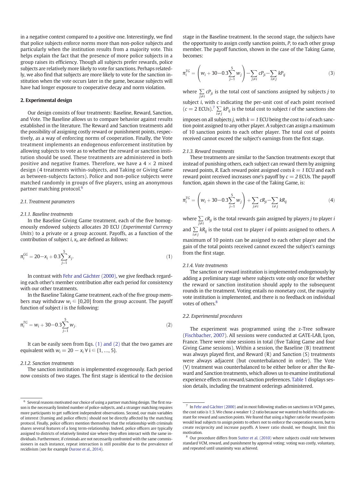<span id="page-3-0"></span>in a negative context compared to a positive one. Interestingly, we find that police subjects enforce norms more than non-police subjects and particularly when the institution results from a majority vote. This helps explain the fact that the presence of more police subjects in a group raises its efficiency. Though all subjects prefer rewards, police subjects are relatively more likely to vote for sanctions. Perhaps relatedly, we also find that subjects are more likely to vote for the sanction institution when the vote occurs later in the game, because subjects will have had longer exposure to cooperative decay and norm violation.

#### 2. Experimental design

Our design consists of four treatments: Baseline, Reward, Sanction, and Vote. The Baseline allows us to compare behavior against results established in the literature. The Reward and Sanction treatments add the possibility of assigning costly reward or punishment points, respectively, as a way of enforcing norms of cooperation. Finally, the Vote treatment implements an endogenous enforcement institution by allowing subjects to vote as to whether the reward or sanction institution should be used. These treatments are administered in both positive and negative frames. Therefore, we have a  $4 \times 2$  mixed design (4 treatments within-subjects, and Taking or Giving Game as between-subjects factors). Police and non-police subjects were matched randomly in groups of five players, using an anonymous partner matching protocol.<sup>6</sup>

#### 2.1. Treatment parameters

#### 2.1.1. Baseline treatments

In the Baseline Giving Game treatment, each of the five homogenously endowed subjects allocates 20 ECU (Experimental Currency Units) to a private or a group account. Payoffs, as a function of the contribution of subject *i*,  $x_i$ , are defined as follows:

$$
\pi_i^{GG} = 20 - x_i + 0.3 \sum_{j=1}^{5} x_j.
$$
\n(1)

In contrast with [Fehr and Gächter \(2000\),](#page-11-0) we give feedback regarding each other's member contribution after each period for consistency with our other treatments.

In the Baseline Taking Game treatment, each of the five group members may withdraw  $w_i \in [0,20]$  from the group account. The payoff function of subject  $i$  is the following:

$$
\pi_i^{TG} = w_i + 30 - 0.3 \sum_{j=1}^5 w_j.
$$
 (2)

It can be easily seen from Eqs. (1) and (2) that the two games are equivalent with  $w_i = 20 - x_i \forall i \in \{1, ..., 5\}.$ 

#### 2.1.2. Sanction treatments

The sanction institution is implemented exogenously. Each period now consists of two stages. The first stage is identical to the decision stage in the Baseline treatment. In the second stage, the subjects have the opportunity to assign costly sanction points, P, to each other group member. The payoff function, shown in the case of the Taking Game, becomes:

$$
\pi_i^{TG} = \left(w_i + 30 - 0.3 \sum_{j=1}^5 w_j\right) - \sum_{j \neq i} c P_{ji} - \sum_{i \neq j} k P_{ij}
$$
\n(3)

where  $\sum_{j\neq i} cP_{ji}$  is the total cost of sanctions assigned by subjects j to subject  $i$ , with  $c$  indicating the per-unit cost of each point received  $(c = 2 \text{ ECUs}).^7 \sum_{i \neq j} kP_{ij}$  is the total cost to subject *i* of the sanctions she imposes on all subjects j, with  $k = 1$  ECU being the cost to *i* of each sanction point assigned to any other player. A subject can assign a maximum of 10 sanction points to each other player. The total cost of points received cannot exceed the subject's earnings from the first stage.

#### 2.1.3. Reward treatments

These treatments are similar to the Sanction treatments except that instead of punishing others, each subject can reward them by assigning reward points, R. Each reward point assigned costs  $k = 1$  ECU and each reward point received increases one's payoff by  $c = 2$  ECUs. The payoff function, again shown in the case of the Taking Game, is:

$$
\pi_i^{TG} = \left(w_i + 30 - 0.3 \sum_{j=1}^5 w_j\right) + \sum_{j \neq i} cR_{ji} - \sum_{i \neq j} kR_{ij}
$$
(4)

where  $\sum_{j\neq i} cR_{ji}$  is the total rewards gain assigned by players *j* to player *i* and  $\sum_{i \neq j} k R_{ij}$  is the total cost to player *i* of points assigned to others. A maximum of 10 points can be assigned to each other player and the

gain of the total points received cannot exceed the subject's earnings from the first stage.

#### 2.1.4. Vote treatments

The sanction or reward institution is implemented endogenously by adding a preliminary stage where subjects vote only once for whether the reward or sanction institution should apply to the subsequent rounds in the treatment. Voting entails no monetary cost, the majority vote institution is implemented, and there is no feedback on individual votes of others.<sup>8</sup>

#### 2.2. Experimental procedures

The experiment was programmed using the z-Tree software [\(Fischbacher, 2007\)](#page-11-0). All sessions were conducted at GATE-LAB, Lyon, France. There were nine sessions in total (five Taking Game and four Giving Game sessions). Within a session, the Baseline (B) treatment was always played first, and Reward (R) and Sanction (S) treatments were always adjacent (but counterbalanced in order). The Vote (V) treatment was counterbalanced to be either before or after the Reward and Sanction treatments, which allows us to examine institutional experience effects on reward/sanction preferences. [Table 1](#page-4-0) displays session details, including the treatment orderings administered.

 $6$  Several reasons motivated our choice of using a partner matching design. The first reason is the necessarily limited number of police-subjects, and a stranger matching requires more participants to get sufficient independent observations. Second, our main variables of interest (framing and police effects) should not be directly affected by the matching protocol. Finally, police officers mention themselves that the relationship with criminals shares several features of a long term-relationship. Indeed, police officers are typically assigned to districts of relatively limited size where they often interact with the same individuals. Furthermore, if criminals are not necessarily confronted with the same commissioners in each instance, repeat interaction is still possible due to the prevalence of recidivism (see for example [Durose et al., 2014\)](#page-11-0).

In [Fehr and Gächter \(2000\)](#page-11-0) and in most following studies on sanctions in VCM games, the cost ratio is 1:3.We chose a weaker 1:2 ratio because we wanted to hold this ratio constant for reward and sanction points. We feared that using a higher ratio for reward points would lead subjects to assign points to others not to enforce the cooperation norm, but to create reciprocity and increase payoffs. A lower ratio should, we thought, limit this motivation.

<sup>&</sup>lt;sup>8</sup> Our procedure differs from [Sutter et al. \(2010\)](#page-12-0) where subjects could vote between standard VCM, reward, and punishment by approval voting; voting was costly, voluntary, and repeated until unanimity was achieved.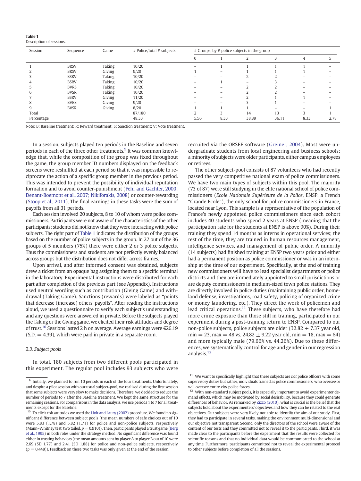<span id="page-4-0"></span>Table 1 Description of sessions.

| Session    | Sequence    | Game   | # Police/total # subjects | # Groups, by # police subjects in the group |                 |       |       |      |      |
|------------|-------------|--------|---------------------------|---------------------------------------------|-----------------|-------|-------|------|------|
|            |             |        |                           | 0                                           |                 |       | 3     | 4    |      |
|            | <b>BRSV</b> | Taking | 10/20                     |                                             |                 |       |       |      |      |
|            | <b>BRSV</b> | Giving | 9/20                      |                                             | $\qquad \qquad$ |       |       |      |      |
|            | <b>BSRV</b> | Taking | 10/20                     |                                             |                 |       |       |      |      |
|            | <b>BSRV</b> | Taking | 10/20                     | $\overline{\phantom{0}}$                    |                 |       |       |      |      |
|            | <b>BVRS</b> | Taking | 10/20                     |                                             | -               |       |       |      |      |
| h          | <b>BVSR</b> | Taking | 10/20                     | $\overline{\phantom{0}}$                    | -               |       |       |      |      |
|            | <b>BSRV</b> | Giving | 11/20                     | $\overline{\phantom{0}}$                    | -               |       |       |      |      |
| 8          | <b>BVRS</b> | Giving | 9/20                      |                                             |                 |       |       |      |      |
| 9          | <b>BVSR</b> | Giving | 8/20                      |                                             |                 |       |       |      |      |
| Total      |             |        | 87/180                    |                                             |                 | 14    | 13    |      |      |
| Percentage |             |        | 48.33                     | 5.56                                        | 8.33            | 38.89 | 36.11 | 8.33 | 2.78 |

Note: B: Baseline treatment; R: Reward treatment; S: Sanction treatment; V: Vote treatment.

In a session, subjects played ten periods in the Baseline and seven periods in each of the three other treatments.<sup>9</sup> It was common knowledge that, while the composition of the group was fixed throughout the game, the group member ID numbers displayed on the feedback screens were reshuffled at each period so that it was impossible to reciprocate the action of a specific group member in the previous period. This was intended to prevent the possibility of individual reputation formation and to avoid counter-punishment [\(Fehr and Gächter, 2000;](#page-11-0) [Denant-Boemont et al., 2007; Nikiforakis, 2008](#page-11-0)) or counter-rewarding [\(Stoop et al., 2011\)](#page-12-0). The final earnings in these tasks were the sum of payoffs from all 31 periods.

Each session involved 20 subjects, 8 to 10 of whom were police commissioners. Participants were not aware of the characteristics of the other participants: students did not know that they were interacting with police subjects. The right part of Table 1 indicates the distribution of the groups based on the number of police subjects in the group. In 27 out of the 36 groups of 5 members (75%) there were either 2 or 3 police subjects. Thus the commissioners and students are not perfectly evenly balanced across groups but the distribution does not differ across frames.

Upon arrival, and after informed consent was obtained, subjects drew a ticket from an opaque bag assigning them to a specific terminal in the laboratory. Experimental instructions were distributed for each part after completion of the previous part (see Appendix). Instructions used neutral wording such as contribution (Giving Game) and withdrawal (Taking Game). Sanctions (rewards) were labeled as "points that decrease (increase) others' payoffs". After reading the instructions aloud, we used a questionnaire to verify each subject's understanding and any questions were answered in private. Before the subjects played the Taking or the Giving game, we elicited their risk attitudes and degree of trust.<sup>10</sup> Sessions lasted 2 h on average. Average earnings were  $\epsilon$ 26.19  $(S.D. = 4.39)$ , which were paid in private in a separate room.

#### 2.3. Subject pools

In total, 180 subjects from two different pools participated in this experiment. The regular pool includes 93 subjects who were recruited via the ORSEE software ([Greiner, 2004](#page-12-0)). Most were undergraduate students from local engineering and business schools; a minority of subjects were older participants, either campus employees or retirees.

The other subject-pool consists of 87 volunteers who had recently passed the very competitive national exam of police commissioners. We have two main types of subjects within this pool. The majority (73 of 87) were still studying in the elite national school of police commissioners (Ecole Nationale Supérieure de la Police, ENSP, a French "Grande Ecole"), the only school for police commissioners in France, located near Lyon. This sample is a representative of the population of France's newly appointed police commissioners since each cohort includes 40 students who spend 2 years at ENSP (meaning that the participation rate for the students at ENSP is above 90%). During their training they spend 14 months as interns in operational services; the rest of the time, they are trained in human resources management, intelligence services, and management of public order. A minority (14 subjects) had finished training at ENSP two years prior and either had a permanent position as police commissioner or was in an internship at the time of our experiment. Specifically, at the end of training new commissioners will have to lead specialist departments or police districts and they are immediately appointed to small jurisdictions or are deputy commissioners in medium-sized town police stations. They are directly involved in police duties (maintaining public order, homeland defense, investigations, road safety, policing of organized crime or money laundering, etc.). They direct the work of policemen and lead critical operations.<sup>11</sup> These subjects, who have therefore had more crime exposure than those still in training, participated in our experiment during a post-training return to ENSP. Compared to our non-police subjects, police subjects are older  $(32.82 \pm 7.37)$  year old,  $min = 23$ ,  $max = 48$  vs.  $24.82 \pm 9.22$  year old,  $min = 18$ ,  $max = 64$ ) and more typically male (79.66% vs. 44.26%). Due to these differences, we systematically control for age and gender in our regression analysis.<sup>12</sup>

Initially, we planned to run 10 periods in each of the four treatments. Unfortunately, and despite a pilot session with our usual subject-pool, we realized during the first session that some subjects were very slow to make decisions. Therefore, we decided to reduce the number of periods to 7 after the Baseline treatment. We kept the same structure for the remaining sessions. For comparisons in the data analysis, we use periods 1 to 7 for all treatments except for the Baseline.

 $10$  To elicit risk attitudes we used the [Holt and Laury \(2002\)](#page-12-0) procedure. We found no significant difference between subject pools (the mean numbers of safe choices out of 10 were 5.83 (1.78) and 5.82 (1.71) for police and non-police subjects, respectively (Mann–Whitney test, two tailed,  $p = 0.910$ )). Then, participants played a trust game ([Berg](#page-11-0) [et al., 1995](#page-11-0)) in both roles under the strategy method. No significant difference was found either in trusting behaviors (the mean amounts sent by player A to player B out of 10 were 2.69 (SD 1.77) and 2.41 (SD 1.88) for police and non-police subjects, respectively  $(p = 0.448)$ ). Feedback on these two tasks was only given at the end of the session.

<sup>&</sup>lt;sup>11</sup> We want to specifically highlight that these subjects are not police officers with some supervisory duties but rather, individuals trained as police commissioners, who oversee or will oversee entire city police forces.

<sup>&</sup>lt;sup>12</sup> With non-standard subject pools, it is especially important to avoid experimenter demand effects, which may be motivated by social desirability, because they could generate differences of behavior. As remarked by [Zizzo \(2010\),](#page-12-0) what is crucial is the belief that the subjects hold about the experimenters' objectives and how they can be related to the real objectives. Our subjects were very likely not able to identify the aim of our study. First, they had to participate in several tasks, making the environment multi-dimensional and our objective not transparent. Second, only the directors of the school were aware of the content of our tests and they committed not to reveal it to the participants. Third, it was made clear to the participants before the experiment that the results were collected for scientific reasons and that no individual data would be communicated to the school at any time. Furthermore, participants committed not to reveal the experimental protocol to other subjects before completion of all the sessions.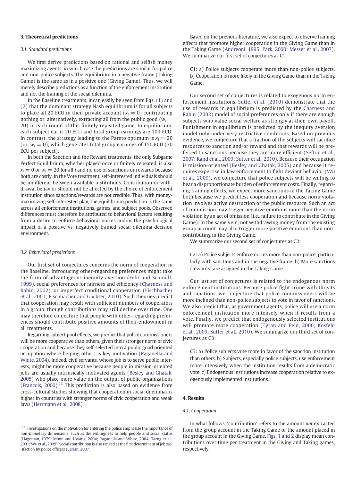#### 3. Theoretical predictions

#### 3.1. Standard predictions

We first derive predictions based on rational and selfish money maximizing agents, in which case the predictions are similar for police and non-police subjects. The equilibrium in a negative frame (Taking Game) is the same as in a positive one (Giving Game). Thus, we will merely describe predictions as a function of the enforcement institution and not the framing of the social dilemma.

In the Baseline treatments, it can easily be seen from Eqs. [\(1\) and](#page-3-0) [\(2\)](#page-3-0) that the dominant strategy Nash equilibrium is for all subjects to place all 20 ECU in their private account ( $x_i = 0$ ) contributing nothing or, alternatively, extracting all from the public good ( $w_i =$ 20) in each round of this finitely repeated game. In equilibrium, each subject earns 20 ECU and total group earnings are 100 ECU. In contrast, the strategy leading to the Pareto optimum is  $x_i = 20$ (or,  $w_i = 0$ ), which generates total group earnings of 150 ECU (30) ECU per subject).

In both the Sanction and the Reward treatments, the only Subgame Perfect Equilibrium, whether played once or finitely repeated, is also  $x_i = 0$  or  $w_i = 20$  for all *i* and no use of sanctions or rewards because both are costly. In the Vote treatment, self-interested individuals should be indifferent between available institutions. Contribution or withdrawal behavior should not be affected by the choice of enforcement institution since sanctions/rewards are not credible. Thus, with moneymaximizing self-interested play, the equilibrium prediction is the same across all enforcement institutions, games, and subject pools. Observed differences must therefore be attributed to behavioral factors resulting from a desire to enforce behavioral norms and/or the psychological impact of a positive vs. negatively framed social dilemma decision environment.

#### 3.2. Behavioral predictions

Our first set of conjectures concerns the norm of cooperation in the Baseline. Introducing other-regarding preferences might take the form of advantageous inequity aversion [\(Fehr and Schmidt,](#page-11-0) [1999\)](#page-11-0), social preferences for fairness and efficiency [\(Charness and](#page-11-0) [Rabin, 2002\)](#page-11-0), or imperfect conditional cooperation [\(Fischbacher](#page-11-0) [et al., 2001; Fischbacher and Gächter, 2010\)](#page-11-0). Such theories predict that cooperation may result with sufficient numbers of cooperators in a group, though contributions may still decline over time. One may therefore conjecture that people with other-regarding preferences should contribute positive amounts of their endowment in all treatments.

Regarding subject pool effects, we predict that police commissioners will be more cooperative than others, given their stronger norm of civic cooperation and because they self-selected into a public good oriented occupation where helping others is key motivation ([Raganella and](#page-12-0) [White, 2004\)](#page-12-0). Indeed, civil servants, whose job is to serve public interests, might be more cooperative because people in mission-oriented jobs are usually intrinsically motivated agents ([Besley and Ghatak,](#page-11-0) [2005](#page-11-0)) who place more value on the output of public organizations [\(François, 2000\)](#page-11-0).<sup>13</sup> This prediction is also based on evidence from cross-cultural studies showing that cooperation in social dilemmas is higher in countries with stronger norms of civic cooperation and weak laws ([Herrmann et al., 2008\)](#page-12-0).

Based on the previous literature, we also expect to observe framing effects that promote higher cooperation in the Giving Game than in the Taking Game ([Andreoni, 1995; Park, 2000; Messer et al., 2007](#page-11-0)). We summarize our first set of conjectures as C1:

C1: a) Police subjects cooperate more than non-police subjects. b) Cooperation is more likely in the Giving Game than in the Taking Game.

Our second set of conjectures is related to exogenous norm enforcement institutions. [Sutter et al. \(2010\)](#page-12-0) demonstrate that the use of rewards in equilibrium is predicted by the [Charness and](#page-11-0) [Rabin \(2002\)](#page-11-0) model of social preferences only if there are enough subjects who value social welfare as strongly as their own payoff. Punishment in equilibrium is predicted by the inequity aversion model only under very restrictive conditions. Based on previous evidence, we conjecture that a fraction of the subjects will sacrifice resources to sanction and/or reward and that rewards will be preferred to sanctions because they are more efficient ([Sefton et al.,](#page-12-0) [2007; Rand et al., 2009; Sutter et al., 2010\)](#page-12-0). Because their occupation is mission-oriented ([Besley and Ghatak, 2005\)](#page-11-0) and because it requires expertise in law enforcement to fight deviant behavior ([Wu](#page-12-0) [et al., 2009](#page-12-0)), we conjecture that police subjects will be willing to bear a disproportionate burden of enforcement costs. Finally, regarding framing effects, we expect more sanctions in the Taking Game both because we predict less cooperation and because norm violation involves active destruction of the public resource. Such an act of commission may trigger negative emotions more than the norm violation by an act of omission (i.e., failure to contribute in the Giving Game). In the same vein, not withdrawing money from the existing group account may also trigger more positive emotions than noncontributing in the Giving Game.

We summarize our second set of conjectures as C2:

C2: a) Police subjects enforce norms more than non-police, particularly with sanctions and in the negative frame. b) More sanctions (rewards) are assigned in the Taking Game.

Our last set of conjectures is related to the endogenous norm enforcement institutions. Because police fight crime with threats and sanctions, we conjecture that police commissioners will be more inclined than non-police subjects to vote in favor of sanctions. We also predict that, as government agents, police will use a norm enforcement institution more intensely when it results from a vote. Finally, we predict that endogenously selected institutions will promote more cooperation ([Tyran and Feld, 2006; Kosfeld](#page-12-0) [et al., 2009; Sutter et al., 2010\)](#page-12-0). We summarize our third set of conjectures as C3:

C3: a) Police subjects vote more in favor of the sanction institution than others. b) Subjects, especially police subjects, use enforcement more intensively when the institution results from a democratic vote. c) Endogenous institutions increase cooperation relative to exogenously implemented institutions.

#### 4. Results

#### 4.1. Cooperation

In what follows, 'contribution' refers to the amount not extracted from the group account in the Taking Game or the amount placed in the group account in the Giving Game. [Figs. 1 and 2](#page-6-0) display mean contributions over time per treatment in the Giving and Taking games, respectively.

 $13$  Investigations on the motivation for entering the police emphasize the importance of non-monetary dimensions, such as the willingness to help people and social status ([Hageman, 1979; Moon and Hwang, 2004; Raganella and White, 2004; Tarng et al.,](#page-12-0) [2001; Wu et al., 2009\)](#page-12-0). Social contribution is also ranked as the first determinant of job satisfaction by police officers [\(Carlan, 2007\)](#page-11-0).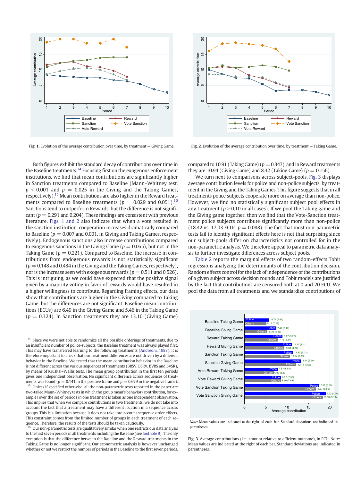<span id="page-6-0"></span>

Fig. 1. Evolution of the average contribution over time, by treatment — Giving Game.

Both figures exhibit the standard decay of contributions over time in the Baseline treatments.<sup>14</sup> Focusing first on the exogenous enforcement institutions, we find that mean contributions are significantly higher in Sanction treatments compared to Baseline (Mann–Whitney test,  $p < 0.001$  and  $p = 0.025$  in the Giving and the Taking Games, respectively).15 Mean contributions are also higher in the Reward treatments compared to Baseline treatments ( $p = 0.029$  and 0.051).<sup>16</sup> Sanctions tend to outperform Rewards, but the difference is not significant ( $p = 0.291$  and 0.204). These findings are consistent with previous literature. Figs. 1 and 2 also indicate that when a vote resulted in the sanction institution, cooperation increases dramatically compared to Baseline ( $p = 0.007$  and 0.001, in Giving and Taking Games, respectively). Endogenous sanctions also increase contributions compared to exogenous sanctions in the Giving Game ( $p = 0.065$ ), but not in the Taking Game ( $p = 0.221$ ). Compared to Baseline, the increase in contributions from endogenous rewards is not statistically significant  $(p = 0.148$  and 0.484 in the Giving and the Taking Games, respectively), nor is the increase seen with exogenous rewards ( $p = 0.511$  and 0.526). This is intriguing, as we could have expected that the positive signal given by a majority voting in favor of rewards would have resulted in a higher willingness to contribute. Regarding framing effects, our data show that contributions are higher in the Giving compared to Taking Game, but the differences are not significant. Baseline mean contributions (ECUs) are 6.49 in the Giving Game and 5.46 in the Taking Game  $(p = 0.324)$ . In Sanction treatments they are 13.10 (Giving Game)



Fig. 2. Evolution of the average contribution over time, by treatment – Taking Game.

compared to 10.91 (Taking Game) ( $p = 0.347$ ), and in Reward treatments they are 10.94 (Giving Game) and 8.32 (Taking Game) ( $p = 0.156$ ).

We turn next to comparisons across subject-pools. Fig. 3 displays average contribution levels for police and non-police subjects, by treatment in the Giving and the Taking Games. This figure suggests that in all treatments police subjects cooperate more on average than non-police. However, we find no statistically significant subject pool effects in any treatment ( $p > 0.10$  in all cases). If we pool the Taking game and the Giving game together, then we find that the Vote-Sanction treatment police subjects contribute significantly more than non-police (18.42 vs. 17.03 ECUs,  $p = 0.088$ ). The fact that most non-parametric tests fail to identify significant effects here is not that surprising since our subject-pools differ on characteristics not controlled for in the non-parametric analysis. We therefore appeal to parametric data analysis to further investigate differences across subject pools.

[Table 2](#page-7-0) reports the marginal effects of two random-effects Tobit regressions analyzing the determinants of the contribution decision. Random effects control for the lack of independence of the contributions of a given subject across decision rounds and Tobit models are justified by the fact that contributions are censured both at 0 and 20 ECU. We pool the data from all treatments and we standardize contributions of



*Note*: Mean values are indicated at the right of each bar. Standard deviations are indicated in parentheses.

Fig. 3. Average contributions (i.e., amount relative to efficient outcome), in ECU. Note: Mean values are indicated at the right of each bar. Standard deviations are indicated in parentheses.

 $14\,$  Since we were not able to randomize all the possible orderings of treatments, due to an insufficient number of police-subjects, the Baseline treatment was always played first. This may have transferred learning to the following treatments ([Andreoni, 1988\)](#page-11-0). It is therefore important to check that our treatment differences are not driven by a different behavior in the Baseline. We tested that the mean contribution behavior in the Baseline is not different across the various sequences of treatments (BRSV, BSRV, BVRS and BVSR), by means of Kruskal–Wallis tests. The mean group contribution in the first ten periods gives one independent observation. No significant difference across sequences of treatments was found ( $p = 0.141$  in the positive frame and  $p = 0.679$  in the negative frame).

<sup>&</sup>lt;sup>15</sup> Unless if specified otherwise, all the non-parametric tests reported in the paper are two-tailed Mann–Whitney tests in which the group mean's behavior (contribution, for example) over the set of periods in one treatment is taken as one independent observation. This implies that when we compare contributions in two treatments, we do not take into account the fact that a treatment may have a different location in a sequence across groups. This is a limitation because it does not take into account sequence order effects. This constraint comes from the limited number of groups in each treatment of each sequence. Therefore, the results of the tests should be taken cautiously.

<sup>&</sup>lt;sup>16</sup> Our non-parametric tests are qualitatively similar when one restricts our data analysis to the first seven periods in all treatments including the Baseline (see footnote 9). The only exception is that the difference between the Baseline and the Reward treatments in the Taking Game is no longer significant. Our econometric analysis is however unchanged whether or not we restrict the number of periods in the Baseline to the first seven periods.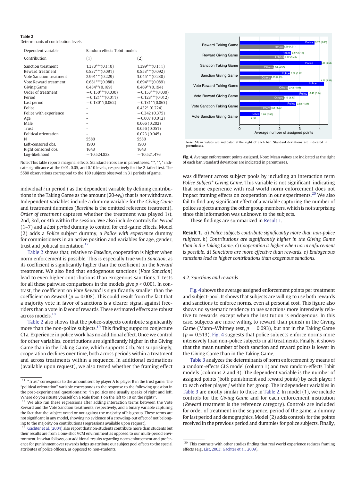#### <span id="page-7-0"></span>Table 2

Determinants of contribution levels.

| Dependent variable      | Random effects Tobit models |                      |  |  |
|-------------------------|-----------------------------|----------------------|--|--|
| Contribution            | (1)                         | (2)                  |  |  |
| Sanction treatment      | $1.373***$ (0.110)          | $1.399***$ $(0.111)$ |  |  |
| Reward treatment        | $0.837***$ (0.091)          | $0.853***$ (0.092)   |  |  |
| Vote Sanction treatment | $2.991***$ (0.229)          | $3.045***(0.230)$    |  |  |
| Vote Reward treatment   | $0.681***$ (0.088)          | $0.694***$ (0.089)   |  |  |
| Giving Game             | $0.484**$ (0.189)           | $0.469**$ (0.194)    |  |  |
| Order of treatment      | $-0.150***$ (0.030)         | $-0.153***$ (0.030)  |  |  |
| Period                  | $-0.121***$ (0.011)         | $-0.123***$ (0.012)  |  |  |
| Last period             | $-0.130**$ (0.062)          | $-0.131**$ (0.063)   |  |  |
| Police                  |                             | $0.432*(0.224)$      |  |  |
| Police with experience  |                             | $-0.342(0.375)$      |  |  |
| Age                     |                             | $-0.007(0.012)$      |  |  |
| Male                    |                             | 0.066(0.202)         |  |  |
| Trust                   |                             | 0.056(0.051)         |  |  |
| Political orientation   |                             | 0.023(0.045)         |  |  |
| N                       | 5580                        | 5580                 |  |  |
| Left-censored obs.      | 1903                        | 1903                 |  |  |
| Right censored obs.     | 1643                        | 1643                 |  |  |
| Log-likelihood          | $-10,524.828$               | $-10,521,476$        |  |  |

Note: This table reports marginal effects. Standard errors are in parentheses. \*\*\*, \*\*, \* indicate significance at the 0.01, 0.05, and 0.10 levels, respectively for the 2-tailed test. The 5580 observations correspond to the 180 subjects observed in 31 periods of game.

individual  $i$  in period  $t$  as the dependent variable by defining contributions in the Taking Game as the amount (20- $w_{it}$ ) that is not withdrawn. Independent variables include a dummy variable for the Giving Game and treatment dummies (Baseline is the omitted reference treatment). Order of treatment captures whether the treatment was played 1st, 2nd, 3rd, or 4th within the session. We also include controls for Period (1–7) and a Last period dummy to control for end-game effects. Model (2) adds a Police subject dummy, a Police with experience dummy for commissioners in an active position and variables for age, gender, trust and political orientation.<sup>17</sup>

Table 2 shows that, relative to Baseline, cooperation is higher when norm enforcement is possible. This is especially true with Sanction, as its coefficient is significantly higher than the coefficient on the Reward treatment. We also find that endogenous sanctions (Vote Sanction) lead to even higher contributions than exogenous sanctions. T-tests for all these pairwise comparisons in the models give  $p < 0.001$ . In contrast, the coefficient on Vote Reward is significantly smaller than the coefficient on Reward ( $p = 0.008$ ). This could result from the fact that a majority vote in favor of sanctions is a clearer signal against freeriders than a vote in favor of rewards. These estimated effects are robust across models.18

Table 2 also shows that the police-subjects contribute significantly more than the non-police subjects.<sup>19</sup> This finding supports conjecture C1a. Experience in police work has no additional effect. Once we control for other variables, contributions are significantly higher in the Giving Game than in the Taking Game, which supports C1b. Not surprisingly, cooperation declines over time, both across periods within a treatment and across treatments within a sequence. In additional estimations (available upon request), we also tested whether the framing effect



*Note*: Mean values are indicated at the right of each bar. Standard deviations are indicated in parentheses.

Fig. 4. Average enforcement points assigned. Note: Mean values are indicated at the right of each bar. Standard deviations are indicated in parentheses.

was different across subject pools by including an interaction term Police Subject\* Giving Game. This variable is not significant, indicating that some experience with real world norm enforcement does not impact framing effects on cooperation in our experiments.<sup>20</sup> We also fail to find any significant effect of a variable capturing the number of police subjects among the other group members, which is not surprising since this information was unknown to the subjects.

These findings are summarized in Result 1.

**Result 1.** a) Police subjects contribute significantly more than non-police subjects. b) Contributions are significantly higher in the Giving Game than in the Taking Game. c) Cooperation is higher when norm enforcement is possible. d) Sanctions are more effective than rewards. e) Endogenous sanctions lead to higher contributions than exogenous sanctions.

#### 4.2. Sanctions and rewards

Fig. 4 shows the average assigned enforcement points per treatment and subject-pool. It shows that subjects are willing to use both rewards and sanctions to enforce norms, even at personal cost. This figure also shows no systematic tendency to use sanctions more intensively relative to rewards, except when the institution is endogenous. In this case, subjects are more willing to reward than punish in the Giving Game (Mann–Whitney test,  $p = 0.093$ ), but not in the Taking Game  $(p = 0.513)$ . Fig. 4 suggests that police subjects enforce norms more intensively than non-police subjects in all treatments. Finally, it shows that the mean number of both sanction and reward points is lower in the Giving Game than in the Taking Game.

[Table 3](#page-8-0) analyzes the determinants of norm enforcement by means of a random-effects GLS model (column 1) and two random-effects Tobit models (columns 2 and 3). The dependent variable is the number of assigned points (both punishment and reward points) by each player  $i$ to each other player j within her group. The independent variables in [Table 3](#page-8-0) are mostly similar to those in Table 2. In model (1), we include controls for the Giving Game and for each enforcement institution (Reward treatment is the reference category). Controls are included for order of treatment in the sequence, period of the game, a dummy for last period and demographics. Model (2) adds controls for the points received in the previous period and dummies for police subjects. Finally,

<sup>&</sup>lt;sup>17</sup> "Trust" corresponds to the amount sent by player A to player B in the trust game. The "political orientation" variable corresponds to the response to the following question in the post-experimental questionnaire: "In politics one usually speaks of right and left. Where do you situate yourself on a scale from 1 on the left to 10 on the right?"

<sup>&</sup>lt;sup>18</sup> We also ran these regressions after adding interaction terms between the Vote Reward and the Vote Sanction treatments, respectively, and a binary variable capturing the fact that the subject voted or not against the majority of his group. These terms are not significant in any model, showing no evidence of a crowding-out effect of not belonging to the majority on contributions (regressions available upon request).

<sup>&</sup>lt;sup>19</sup> [Gächter et al. \(2004\)](#page-12-0) also report that non-students contribute more than students but their results are from a one-shot VCM environment as opposed to our multi-period environment. In what follows, our additional results regarding norm enforcement and preference for punishment over rewards helps us attribute our subject pool effects to the special attributes of police officers, as opposed to non-students.

 $20$  This contrasts with other studies finding that real world experience reduces framing effects (e.g., [List, 2003; Gächter et al., 2009](#page-12-0)).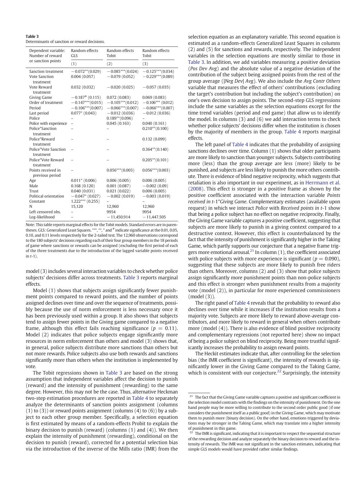#### <span id="page-8-0"></span>Table 3

Determinants of sanction or reward decisions.

| Dependent variable:<br>Number of reward                 | Random effects<br><b>GLS</b>       | Random effects<br>Tobit                | Random effects<br>Tobit                   |  |
|---------------------------------------------------------|------------------------------------|----------------------------------------|-------------------------------------------|--|
| or sanction points                                      | (1)                                | (2)                                    | (3)                                       |  |
| Sanction treatment<br><b>Vote Sanction</b><br>treatment | $-0.072**$ (0.029)<br>0.004(0.057) | $-0.085***$ (0.024)<br>$-0.079(0.052)$ | $-0.125***$ (0.034)<br>$-0.229***(0.089)$ |  |
| Vote Reward<br>treatment                                | 0.032(0.032)                       | $-0.020(0.025)$                        | $-0.057(0.035)$                           |  |
| Giving Game                                             | $-0.187$ <sup>#</sup> (0.115)      | 0.072(0.083)                           | 0.069(0.083)                              |  |
| Order of treatment                                      | $-0.147***$ (0.015)                | $-0.105***$ (0.012)                    | $-0.106***$ (0.012)                       |  |
| Period                                                  | $-0.106***$ (0.007)                | $-0.066***$ (0.007)                    | $-0.066***(0.007)$                        |  |
| Last period                                             | $0.077*$ (0.043)                   | $-0.012(0.036)$                        | $-0.012(0.036)$                           |  |
| Police                                                  |                                    | $0.189**$ (0.096)                      |                                           |  |
| Police with experience                                  | $\overline{\phantom{0}}$           | 0.045(0.163)                           | 0.040(0.161)                              |  |
| Police*Sanction<br>treatment                            |                                    |                                        | $0.210**$ (0.100)                         |  |
| Police*Reward<br>treatment                              |                                    |                                        | 0.132(0.099)                              |  |
| Police*Vote Sanction                                    |                                    |                                        | $0.364**$ (0.140)                         |  |
| treatment                                               |                                    |                                        |                                           |  |
| Police*Vote Reward<br>treatment                         |                                    |                                        | $0.205**$ (0.101)                         |  |
| Points received in<br>previous period                   |                                    | $0.056***$ (0.003)                     | $0.056***$ (0.003)                        |  |
| Age                                                     | $0.011*$ (0.006)                   | 0.006(0.005)                           | 0.006(0.005)                              |  |
| Male                                                    | 0.168(0.120)                       | 0.001(0.087)                           | $-0.002(0.09)$                            |  |
| Trust                                                   | 0.040(0.031)                       | 0.021(0.022)                           | 0.006(0.005)                              |  |
| Political orientation                                   | $-0.047$ * (0.027)                 | $-0.002(0.019)$                        | $-0.003(0.019)$                           |  |
| Constant                                                | $1.222***$ (0.255)                 |                                        |                                           |  |
| N                                                       | 15,120                             | 12,960                                 | 12,960                                    |  |
| Left censored obs.                                      |                                    | 9954                                   | 9954                                      |  |
| Log-likelihood                                          |                                    | $-11,450.914$                          | $-11,447,505$                             |  |

Note: This table reports marginal effects for the Tobit models. Standard errors are in parentheses. GLS: Generalized Least Squares. \*\*\*, \*\*, \* and # indicate significance at the 0.01, 0.05, 0.10, and 0.11 levels respectively for the 2-tailed test. The 12,960 observations correspond to the 180 subjects' decisions regarding each of their four group members in the 18 periods of game where sanctions or rewards can be assigned (excluding the first period of each of the three treatments due to the introduction of the lagged variable points received in  $t-1$ ).

model (3) includes several interaction variables to check whether police subjects' decisions differ across treatments. Table 3 reports marginal effects.

Model (1) shows that subjects assign significantly fewer punishment points compared to reward points, and the number of points assigned declines over time and over the sequence of treatments, possibly because the use of norm enforcement is less necessary once it has been previously used within a group. It also shows that subjects tend to assign fewer points in the Giving game compared to a negative frame, although this effect fails reaching significance ( $p = 0.11$ ). Model (2) indicates that police subjects engage significantly more resources in norm enforcement than others and model (3) shows that, in general, police subjects distribute more sanctions than others but not more rewards. Police subjects also use both rewards and sanctions significantly more than others when the institution is implemented by vote.

The Tobit regressions shown in Table 3 are based on the strong assumption that independent variables affect the decision to punish (reward) and the intensity of punishment (rewarding) to the same degree. However, this may not be the case. Thus, alternative Heckman two-step estimation procedures are reported in [Table 4](#page-9-0) to separately analyze the determinants of sanction points assignment (columns  $(1)$  to  $(3)$ ) or reward points assignment (columns  $(4)$  to  $(6)$ ) by a subject to each other group member. Specifically, a selection equation is first estimated by means of a random-effects Probit to explain the binary decision to punish (reward) (columns (1) and (4)). We then explain the intensity of punishment (rewarding), conditional on the decision to punish (reward), corrected for a potential selection bias via the introduction of the inverse of the Mills ratio (IMR) from the selection equation as an explanatory variable. This second equation is estimated as a random-effects Generalized Least Squares in columns (2) and (5) for sanctions and rewards, respectively. The independent variables in the selection equations are mostly similar to those in Table 3. In addition, we add variables measuring a positive deviation (Pos Dev Avg) and the absolute value of a negative deviation of the contribution of the subject being assigned points from the rest of the group average (|Neg Dev| Avg). We also include the Avg Contr Others variable that measures the effect of others' contributions (excluding the target's contribution but including the subject's contribution) on one's own decision to assign points. The second-step GLS regressions include the same variables as the selection equations except for the time trend variables (period and end game) that allow us to identify the model. In columns (3) and (6) we add interaction terms to check whether police subjects' decisions differ when the institution is chosen by the majority of members in the group. [Table 4](#page-9-0) reports marginal effects.

The left panel of [Table 4](#page-9-0) indicates that the probability of assigning sanctions declines over time. Column (1) shows that older participants are more likely to sanction than younger subjects. Subjects contributing more (less) than the group average are less (more) likely to be punished, and subjects are less likely to punish the more others contribute. There is evidence of blind negative reciprocity, which suggests that retaliation is also important in our experiment, as in [Herrmann et al.](#page-12-0) [\(2008\)](#page-12-0). This effect is stronger in a positive frame as shown by the positive coefficient associated with the interaction variable Points received in t-1\*Giving Game. Complementary estimates (available upon request) in which we interact Police with Received points in t-1 show that being a police subject has no effect on negative reciprocity. Finally, the Giving Game variable captures a positive coefficient, suggesting that subjects are more likely to punish in a giving context compared to a destructive context. However, this effect is counterbalanced by the fact that the intensity of punishment is significantly higher in the Taking Game, which partly supports our conjecture that a negative frame triggers more emotional arousal.<sup>21</sup> In column  $(1)$ , the coefficient associated with police subjects with more experience is significant ( $p = 0.090$ ), suggesting that these subjects are more likely to punish free riders than others. Moreover, columns (2) and (3) show that police subjects assign significantly more punishment points than non-police subjects and this effect is stronger when punishment results from a majority vote (model (2)), in particular for more experienced commissioners (model (3)).

The right panel of [Table 4](#page-9-0) reveals that the probability to reward also declines over time while it increases if the institution results from a majority vote. Subjects are more likely to reward above-average contributors, and more likely to reward in general when others contribute more (model (4)). There is also evidence of blind positive reciprocity and complementary regressions (not reported here) show no impact of being a police subject on blind reciprocity. Being more trustful significantly increases the probability to assign reward points.

The Heckit estimates indicate that, after controlling for the selection bias (the IMR coefficient is significant), the intensity of rewards is significantly lower in the Giving Game compared to the Taking Game, which is consistent with our conjecture.<sup>22</sup> Surprisingly, the intensity

 $21$  The fact that the Giving Game variable captures a positive and significant coefficient in the selection model contrasts with the findings on the intensity of punishment. On the one hand people may be more willing to contribute to the second order public good (if one considers the punishment itself as a public good) in the Giving Game, which may motivate them to punish more (binary decision). On the other hand, emotions triggered by deviations may be stronger in the Taking Game, which may translate into a higher intensity of punishment in this game.

The IMR is significant, indicating that it is important to respect the sequential structure of the rewarding decision and analyze separately the binary decision to reward and the intensity of rewards. The IMR was not significant in the sanction estimates, indicating that simple GLS models would have provided rather similar findings.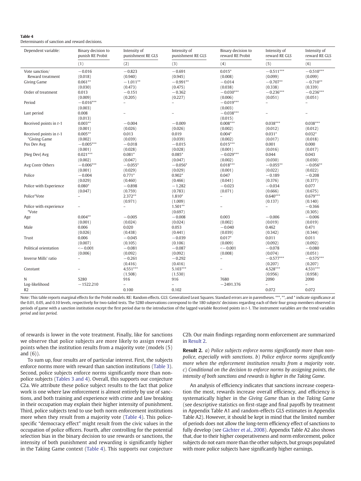#### <span id="page-9-0"></span>Table 4

Determinants of sanction and reward decisions.

| Dependent variable:    | Binary decision to<br>punish RE Probit | Intensity of<br>punishment RE GLS | Intensity of<br>punishment RE GLS | Binary decision to<br>reward RE Probit | Intensity of<br>reward RE GLS | Intensity of<br>reward RE GLS |
|------------------------|----------------------------------------|-----------------------------------|-----------------------------------|----------------------------------------|-------------------------------|-------------------------------|
|                        | (1)                                    | (2)                               | (3)                               | (4)                                    | (5)                           | (6)                           |
| Vote sanction/         | $-0.016$                               | $-0.823$                          | $-0.691$                          | $0.015*$                               | $-0.511***$                   | $-0.510***$                   |
| Reward treatment       | (0.018)                                | (0.940)                           | (0.945)                           | (0.008)                                | (0.099)                       | (0.099)                       |
| <b>Giving Game</b>     | $0.061**$                              | $-1.011**$                        | $-0.991**$                        | $-0.014$                               | $-0.707**$                    | $-0.710**$                    |
|                        | (0.030)                                | (0.473)                           | (0.475)                           | (0.038)                                | (0.338)                       | (0.339)                       |
| Order of treatment     | 0.013                                  | $-0.151$                          | $-0.362$                          | $-0.030***$                            | $-0.236***$                   | $-0.236***$                   |
|                        | (0.009)                                | (0.205)                           | (0.227)                           | (0.006)                                | (0.051)                       | (0.051)                       |
| Period                 | $-0.016***$                            | $\overline{a}$                    | $\overline{a}$                    | $-0.019***$                            | ÷                             |                               |
|                        | (0.003)                                |                                   |                                   | (0.003)                                |                               |                               |
| Last period            | 0.008                                  | $\overline{\phantom{0}}$          | $\overline{a}$                    | $-0.038***$                            |                               |                               |
|                        | (0.013)                                |                                   |                                   | (0.015)                                |                               |                               |
| Received points in t-1 | $0.003**$                              | $-0.004$                          | $-0.009$                          | $0.008***$                             | $0.038***$                    | $0.038***$                    |
|                        | (0.001)                                | (0.026)                           | (0.026)                           | (0.002)                                | (0.012)                       | (0.012)                       |
| Received points in t-1 | $0.005***$                             | 0.013                             | 0.019                             | $0.004*$                               | $0.031*$                      | $0.032*$                      |
| <i>*Giving Game</i>    | (0.002)                                | (0.039)                           | (0.039)                           | (0.002)                                | (0.017)                       | (0.018)                       |
| Pos Dev Avg            | $-0.005***$                            | $-0.018$                          | $-0.015$                          | $0.015***$                             | 0.001                         | 0.000                         |
|                        | (0.001)                                | (0.028)                           | (0.028)                           | (0.001)                                | (0.016)                       | (0.017)                       |
| Neg Dev  Avg           | $0.021***$                             | $0.081*$                          | $0.085*$                          | $-0.029***$                            | 0.044                         | 0.043                         |
|                        | (0.002)                                | (0.047)                           | (0.047)                           | (0.002)                                | (0.030)                       | (0.030)                       |
|                        | $-0.006***$                            | $-0.055*$                         | $-0.056*$                         | $0.018***$                             | $-0.055**$                    | $-0.056**$                    |
| Avg Contr Others       |                                        |                                   |                                   |                                        |                               |                               |
|                        | (0.001)                                | (0.029)                           | (0.029)                           | (0.001)                                | (0.022)                       | (0.022)                       |
| Police                 | $-0.004$                               | $0.771*$                          | $0.902*$                          | 0.047                                  | $-0.189$                      | $-0.208$                      |
|                        | (0.029)                                | (0.460)                           | (0.466)                           | (0.041)                                | (0.376)                       | (0.377)                       |
| Police with Experience | $0.080*$                               | $-0.898$                          | $-1.282$                          | $-0.023$                               | $-0.034$                      | 0.077                         |
|                        | (0.047)                                | (0.759)                           | (0.783)                           | (0.071)                                | (0.666)                       | (0.675)                       |
| Police*Vote            |                                        | $2.372**$                         | 1.810*                            | $\overline{\phantom{0}}$               | $0.640***$                    | $0.679***$                    |
|                        |                                        | (0.971)                           | (1.009)                           |                                        | (0.137)                       | (0.140)                       |
| Police with experience | $\qquad \qquad -$                      | $\overline{\phantom{a}}$          | $1.501**$                         | $\qquad \qquad -$                      | $\overline{\phantom{a}}$      | $-0.366$                      |
| *Vote                  |                                        |                                   | (0.697)                           |                                        |                               | (0.305)                       |
| Age                    | $0.004**$                              | $-0.005$                          | $-0.008$                          | 0.003                                  | $-0.006$                      | $-0.006$                      |
|                        | (0.001)                                | (0.024)                           | (0.024)                           | (0.002)                                | (0.019)                       | (0.019)                       |
| Male                   | 0.006                                  | 0.020                             | 0.053                             | $-0.040$                               | 0.462                         | 0.471                         |
|                        | (0.026)                                | (0.438)                           | (0.441)                           | (0.039)                                | (0.342)                       | (0.344)                       |
| Trust                  | 0.006                                  | $-0.045$                          | $-0.039$                          | $0.017*$                               | 0.011                         | 0.011                         |
|                        | (0.007)                                | (0.105)                           | (0.106)                           | (0.009)                                | (0.092)                       | (0.092)                       |
| Political orientation  | $\sim$ -0.001                          | $-0.081$                          | $-0.087$                          | $\sim$ -0.001                          | $-0.078$                      | $-0.080$                      |
|                        | (0.006)                                | (0.092)                           | (0.092)                           | (0.008)                                | (0.074)                       | (0.051)                       |
| Inverse Mills' ratio   | $\overline{a}$                         | $-0.261$                          | $-0.292$                          | $\overline{a}$                         | $-0.577***$                   | $-0.575***$                   |
|                        |                                        | (0.416)                           | (0.416)                           |                                        | (0.207)                       | (0.207)                       |
| Constant               | $\overline{a}$                         | $4.551***$                        | $5.103***$                        | $\overline{\phantom{a}}$               | 4.528***                      | $4.531***$                    |
|                        |                                        | (1.508)                           | (1.530)                           |                                        | (0.956)                       | (0.958)                       |
| N                      | 5280                                   | 916                               | 916                               | 7680                                   | 2090                          | 2090                          |
| Log-likelihood         | $-1522.210$                            | $\overline{a}$                    | $\qquad \qquad -$                 | $-2491.376$                            | $\overline{\phantom{0}}$      |                               |
| R <sub>2</sub>         |                                        | 0.100                             | 0.102                             |                                        | 0.072                         | 0.072                         |

Note: This table reports marginal effects for the Probit models. RE: Random effects. GLS: Generalized Least Squares. Standard errors are in parentheses. \*\*\*, \*\*, and \* indicate significance at the 0.01, 0.05, and 0.10 levels, respectively for two-tailed tests. The 5280 observations correspond to the 180 subjects' decisions regarding each of their four group members observed in periods of game with a sanction institution except the first period due to the introduction of the lagged variable Received points in t-1. The instrument variables are the trend variables period and last period.

of rewards is lower in the vote treatment. Finally, like for sanctions we observe that police subjects are more likely to assign reward points when the institution results from a majority vote (models (5) and (6)).

To sum up, four results are of particular interest. First, the subjects enforce norms more with reward than sanction institutions ([Table 3](#page-8-0)). Second, police subjects enforce norms significantly more than nonpolice subjects ([Tables 3 and 4\)](#page-8-0). Overall, this supports our conjecture C2a. We attribute these police subject results to the fact that police work is one where law enforcement is almost entirely by use of sanctions, and both training and experience with crime and law breaking in their occupation may explain their higher intensity of punishment. Third, police subjects tend to use both norm enforcement institutions more when they result from a majority vote (Table 4). This policespecific "democracy effect" might result from the civic values in the occupation of police officers. Fourth, after controlling for the potential selection bias in the binary decision to use rewards or sanctions, the intensity of both punishment and rewarding is significantly higher in the Taking Game context (Table 4). This supports our conjecture C2b. Our main findings regarding norm enforcement are summarized in Result 2.

Result 2. a) Police subjects enforce norms significantly more than nonpolice, especially with sanctions. b) Police enforce norms significantly more when the enforcement institution results from a majority vote. c) Conditional on the decision to enforce norms by assigning points, the intensity of both sanctions and rewards is higher in the Taking Game.

An analysis of efficiency indicates that sanctions increase cooperation the most, rewards increase overall efficiency, and efficiency is systematically higher in the Giving Game than in the Taking Game (see descriptive statistics on first-stage and final payoffs by treatment in Appendix Table A1 and random-effects GLS estimates in Appendix Table A2). However, it should be kept in mind that the limited number of periods does not allow the long-term efficiency effect of sanctions to fully develop (see [Gächter et al., 2008\)](#page-12-0). Appendix Table A2 also shows that, due to their higher cooperativeness and norm enforcement, police subjects do not earn more than the other subjects, but groups populated with more police subjects have significantly higher earnings.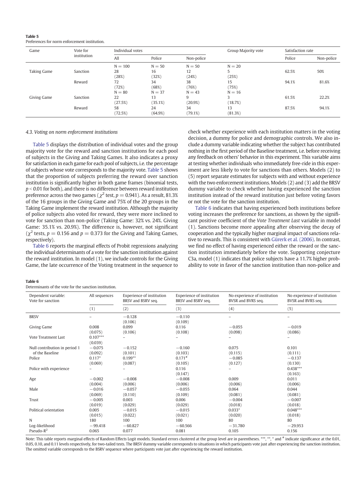Table 5 Preferences for norm enforcement institution.

| Game        | Vote for<br>institution | Individual votes |          |            | Group Majority vote | Satisfaction rate |            |
|-------------|-------------------------|------------------|----------|------------|---------------------|-------------------|------------|
|             |                         | All              | Police   | Non-police |                     | Police            | Non-police |
|             |                         | $N = 100$        | $N = 50$ | $N = 50$   | $N = 20$            |                   |            |
| Taking Game | Sanction                | 28               | 16       | 12         | 5                   | 62.5%             | 50%        |
|             |                         | (28%)            | (32%)    | (24%)      | (25%)               |                   |            |
|             | Reward                  | 72               | 34       | 38         | 15                  | 94.1%             | 81.6%      |
|             |                         | (72%)            | (68%)    | (76%)      | (75%)               |                   |            |
|             |                         | $N = 80$         | $N = 37$ | $N = 43$   | $N = 16$            |                   |            |
| Giving Game | Sanction                | 22               | 13       | 9          | 3                   | 61.5%             | 22.2%      |
|             |                         | (27.5%)          | (35.1%)  | (20.9%)    | (18.7%)             |                   |            |
|             | Reward                  | 58               | 24       | 34         | 13                  | 87.5%             | 94.1%      |
|             |                         | (72.5%)          | (64.9%)  | (79.1%)    | (81.3%)             |                   |            |

#### 4.3. Voting on norm enforcement institutions

Table 5 displays the distribution of individual votes and the group majority vote for the reward and sanction institutions for each pool of subjects in the Giving and Taking Games. It also indicates a proxy for satisfaction in each game for each pool of subjects, i.e. the percentage of subjects whose vote corresponds to the majority vote. Table 5 shows that the proportion of subjects preferring the reward over sanction institution is significantly higher in both game frames (binomial tests,  $p < 0.01$  for both), and there is no difference between reward institution preference across the two games ( $\chi^2$  test,  $p = 0.941$ ). As a result, 81.3% of the 16 groups in the Giving Game and 75% of the 20 groups in the Taking Game implement the reward institution. Although the majority of police subjects also voted for reward, they were more inclined to vote for sanction than non-police (Taking Game: 32% vs. 24%. Giving Game: 35.1% vs. 20.9%). The difference is, however, not significant  $(\chi^2$  tests,  $p = 0.156$  and  $p = 0.373$  for the Giving and Taking Games, respectively).

Table 6 reports the marginal effects of Probit regressions analyzing the individual determinants of a vote for the sanction institution against the reward institution. In model (1), we include controls for the Giving Game, the late occurrence of the Voting treatment in the sequence to check whether experience with each institution matters in the voting decision, a dummy for police and demographic controls. We also include a dummy variable indicating whether the subject has contributed nothing in the first period of the Baseline treatment, i.e. before receiving any feedback on others' behavior in this experiment. This variable aims at testing whether individuals who immediately free-ride in this experiment are less likely to vote for sanctions than others. Models (2) to (5) report separate estimates for subjects with and without experience with the two enforcement institutions. Models (2) and (3) add the BRSV dummy variable to check whether having experienced the sanction institution instead of the reward institution just before voting favors or not the vote for the sanction institution.

Table 6 indicates that having experienced both institutions before voting increases the preference for sanctions, as shown by the significant positive coefficient of the Vote Treatment Last variable in model (1). Sanctions become more appealing after observing the decay of cooperation and the typically higher marginal impact of sanctions relative to rewards. This is consistent with [Gürerk et al. \(2006\)](#page-12-0). In contrast, we find no effect of having experienced either the reward or the sanction institution immediately before the vote. Supporting conjecture C3a, model (1) indicates that police subjects have a 11.7% higher probability to vote in favor of the sanction institution than non-police and

#### Table 6

Determinants of the vote for the sanction institution.

| Dependent variable:<br>Vote for sanction | All sequences | Experience of institution<br>BRSV and BSRV seq. | Experience of institution<br>BRSV and BSRV seq. | No experience of institution<br>BVSR and BVRS seq. | No experience of institution<br>BVSR and BVRS seq. |
|------------------------------------------|---------------|-------------------------------------------------|-------------------------------------------------|----------------------------------------------------|----------------------------------------------------|
|                                          | (1)           | (2)                                             | (3)                                             | (4)                                                | (5)                                                |
| <b>BRSV</b>                              |               | $-0.128$                                        | $-0.110$                                        | -                                                  | $\overline{\phantom{0}}$                           |
|                                          |               | (0.106)                                         | (0.109)                                         |                                                    |                                                    |
| Giving Game                              | 0.008         | 0.099                                           | 0.116                                           | $-0.055$                                           | $-0.019$                                           |
|                                          | (0.075)       | (0.106)                                         | (0.108)                                         | (0.098)                                            | (0.086)                                            |
| Vote Treatment Last                      | $0.107***$    | $\overline{\phantom{0}}$                        |                                                 | -                                                  | ۰                                                  |
|                                          | (0.039)       |                                                 |                                                 |                                                    |                                                    |
| Null contribution in period 1            | $-0.075$      | $-0.152$                                        | $-0.160$                                        | 0.075                                              | 0.101                                              |
| of the Baseline                          | (0.092)       | (0.101)                                         | (0.103)                                         | (0.115)                                            | (0.111)                                            |
| Police                                   | $0.117*$      | $0.199**$                                       | $0.171^{#}$                                     | $-0.085$                                           | $-0.137$                                           |
|                                          | (0.069)       | (0.087)                                         | (0.105)                                         | (0.127)                                            | (0.130)                                            |
| Police with experience                   |               |                                                 | 0.116                                           | $\qquad \qquad -$                                  | $0.438***$                                         |
|                                          |               |                                                 | (0.147)                                         |                                                    | (0.163)                                            |
| Age                                      | $-0.002$      | $-0.008$                                        | $-0.008$                                        | 0.009                                              | 0.011                                              |
|                                          | (0.004)       | (0.006)                                         | (0.006)                                         | (0.006)                                            | (0.006)                                            |
| Male                                     | $-0.016$      | $-0.057$                                        | $-0.055$                                        | 0.064                                              | 0.044                                              |
|                                          | (0.069)       | (0.110)                                         | (0.109)                                         | (0.081)                                            | (0.081)                                            |
| Trust                                    | $-0.005$      | 0.003                                           | 0.006                                           | $-0.004$                                           | $-0.007$                                           |
|                                          | (0.019)       | (0.029)                                         | (0.029)                                         | (0.018)                                            | (0.018)                                            |
| Political orientation                    | 0.005         | $-0.015$                                        | $-0.015$                                        | $0.033*$                                           | $0.048***$                                         |
|                                          | (0.015)       | (0.022)                                         | (0.021)                                         | (0.020)                                            | (0.018)                                            |
| N                                        | 180           | 100                                             | 100                                             | 80                                                 | 80                                                 |
| Log-likelihood                           | $-99.418$     | $-60.827$                                       | $-60.566$                                       | $-31.780$                                          | $-29.953$                                          |
| Pseudo- $R^2$                            | 0.065         | 0.077                                           | 0.081                                           | 0.105                                              | 0.156                                              |

Note: This table reports marginal effects of Random Effects Logit models. Standard errors clustered at the group level are in parentheses. \*\*\*, \*\*, \* and # indicate significance at the 0.01, 0.05, 0.10, and 0.11 levels respectively, for two-tailed tests. The BRSV dummy variable corresponds to situations in which participants vote just after experiencing the sanction institution. The omitted variable corresponds to the BSRV sequence where participants vote just after experiencing the reward institution.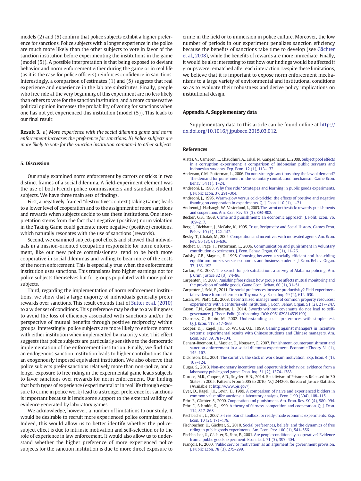<span id="page-11-0"></span>models (2) and (5) confirm that police subjects exhibit a higher preference for sanctions. Police subjects with a longer experience in the police are much more likely than the other subjects to vote in favor of the sanction institution before experimenting the institutions in the game (model (5)). A possible interpretation is that being exposed to deviant behavior and norm enforcement either during the game or in real life (as it is the case for police officers) reinforces confidence in sanctions. Interestingly, a comparison of estimates (1) and (5) suggests that real experience and experience in the lab are substitutes. Finally, people who free ride at the very beginning of this experiment are no less likely than others to vote for the sanction institution, and a more conservative political opinion increases the probability of voting for sanctions when one has not yet experienced this institution (model (5)). This leads to our final result:

Result 3. a) More experience with the social dilemma game and norm enforcement increases the preference for sanctions. b) Police subjects are more likely to vote for the sanction institution compared to other subjects.

#### 5. Discussion

Our study examined norm enforcement by carrots or sticks in two distinct frames of a social dilemma. A field-experiment element was the use of both French police commissioners and standard student subjects. We have three main sets of findings.

First, a negatively-framed "destructive" context (Taking Game) leads to a lower level of cooperation and to the assignment of more sanctions and rewards when subjects decide to use these institutions. One interpretation stems from the fact that negative (positive) norm violation in the Taking Game could generate more negative (positive) emotions, which naturally resonates with the use of sanctions (rewards).

Second, we examined subject-pool effects and showed that individuals in a mission-oriented occupation responsible for norm enforcement, like our new police commissioners, tend to be both more cooperative in social dilemmas and willing to bear more of the costs of the norm enforcement. This is especially true when the enforcement institution uses sanctions. This translates into higher earnings not for police subjects themselves but for groups populated with more police subjects.

Third, regarding the implementation of norm enforcement institutions, we show that a large majority of individuals generally prefer rewards over sanctions. This result extends that of [Sutter et al. \(2010\)](#page-12-0) to a wider set of conditions. This preference may be due to a willingness to avoid the loss of efficiency associated with sanctions and/or the perspective of mutual benefits through positive reciprocity within groups. Interestingly, police subjects are more likely to enforce norms with either institution when implemented by majority vote. This effect suggests that police subjects are particularly sensitive to the democratic implementation of the enforcement institution. Finally, we find that an endogenous sanction institution leads to higher contributions than an exogenously imposed equivalent institution. We also observe that police subjects prefer sanctions relatively more than non-police, and a longer exposure to free riding in the experimental game leads subjects to favor sanctions over rewards for norm enforcement. Our finding that both types of experience (experimental or in real life through exposure to crime in police work) lead to a stronger preference for sanctions is important because it lends some support to the external validity of evidence generated by laboratory games.

We acknowledge, however, a number of limitations to our study. It would be desirable to recruit more experienced police commissioners. Indeed, this would allow us to better identify whether the policesubject effect is due to intrinsic motivation and self-selection or to the role of experience in law enforcement. It would also allow us to understand whether the higher preference of more experienced police subjects for the sanction institution is due to more direct exposure to

crime in the field or to immersion in police culture. Moreover, the low number of periods in our experiment penalizes sanction efficiency because the benefits of sanctions take time to develop (see [Gächter](#page-12-0) [et al., 2008\)](#page-12-0), while the benefits of rewards are more immediate. Finally, it would be also interesting to test how our findings would be affected if groups were rematched after each interaction. Despite these limitations, we believe that it is important to expose norm enforcement mechanisms to a large variety of environmental and institutional conditions so as to evaluate their robustness and derive policy implications on institutional design.

#### Appendix A. Supplementary data

Supplementary data to this article can be found online at [http://](http://dx.doi.org/10.1016/j.jpubeco.2015.03.012) [dx.doi.org/10.1016/j.jpubeco.2015.03.012.](http://dx.doi.org/10.1016/j.jpubeco.2015.03.012)

#### References

- Alatas, V., Cameron, L., Chaudhuri, A., Erkal, N., Gangadharan, L., 2009. [Subject pool effects](http://refhub.elsevier.com/S0047-2727(15)00055-9/rf0005) [in a corruption experiment: a comparison of Indonesian public servants and](http://refhub.elsevier.com/S0047-2727(15)00055-9/rf0005) [Indonesian students. Exp. Econ. 12 \(1\), 113](http://refhub.elsevier.com/S0047-2727(15)00055-9/rf0005)–132.
- Anderson, C.M., Putterman, L., 2006. [Do non-strategic sanctions obey the law of demand?](http://refhub.elsevier.com/S0047-2727(15)00055-9/rf0010) [The demand for punishment in the voluntary contribution mechanism. Game Econ.](http://refhub.elsevier.com/S0047-2727(15)00055-9/rf0010) [Behav. 54 \(1\), 1](http://refhub.elsevier.com/S0047-2727(15)00055-9/rf0010)–24.
- Andreoni, J., 1988. [Why free ride? Strategies and learning in public goods experiments.](http://refhub.elsevier.com/S0047-2727(15)00055-9/rf0015) [J. Public Econ. 37, 291](http://refhub.elsevier.com/S0047-2727(15)00055-9/rf0015)–304.
- Andreoni, J., 1995. [Warm-glow versus cold-prickle: the effects of positive and negative](http://refhub.elsevier.com/S0047-2727(15)00055-9/rf0020) [framing on cooperation in experiments. Q. J. Econ. 110 \(1\), 1](http://refhub.elsevier.com/S0047-2727(15)00055-9/rf0020)–21.
- Andreoni, J., Harbaugh, W., Vesterlund, L., 2003. [The carrot or the stick: rewards, punishments](http://refhub.elsevier.com/S0047-2727(15)00055-9/rf0025) [and cooperation. Am. Econ. Rev. 93 \(3\), 893](http://refhub.elsevier.com/S0047-2727(15)00055-9/rf0025)–902.
- Becker, G.S., 1968. [Crime and punishment: an economic approach. J. Polit. Econ. 76,](http://refhub.elsevier.com/S0047-2727(15)00055-9/rf0035) 169–[217.](http://refhub.elsevier.com/S0047-2727(15)00055-9/rf0035)
- Berg, J., Dickhaut, J., McCabe, K., 1995. [Trust, Reciprocity and Social History. Games Econ.](http://refhub.elsevier.com/S0047-2727(15)00055-9/rf9995) [Behav. 10 \(1\), 122](http://refhub.elsevier.com/S0047-2727(15)00055-9/rf9995)–142.
- Besley, T., Ghatak, M., 2005. [Competition and incentives with motivated agents. Am. Econ.](http://refhub.elsevier.com/S0047-2727(15)00055-9/rf0050) [Rev. 95 \(3\), 616](http://refhub.elsevier.com/S0047-2727(15)00055-9/rf0050)–636.
- Bochet, O., Page, T., Putterman, L., 2006. [Communication and punishment in voluntary](http://refhub.elsevier.com/S0047-2727(15)00055-9/rf0055) [contribution experiments. J. Econ. Behav. Organ. 60 \(1\), 11](http://refhub.elsevier.com/S0047-2727(15)00055-9/rf0055)–26.
- Cadsby, C.B., Maynes, E., 1998. [Choosing between a socially ef](http://refhub.elsevier.com/S0047-2727(15)00055-9/rf0060)ficient and free-riding [equilibrium: nurses versus economics and business students. J. Econ. Behav. Organ.](http://refhub.elsevier.com/S0047-2727(15)00055-9/rf0060) [37, 183](http://refhub.elsevier.com/S0047-2727(15)00055-9/rf0060)–192.
- Carlan, P.E., 2007. [The search for job satisfaction: a survey of Alabama policing. Am.](http://refhub.elsevier.com/S0047-2727(15)00055-9/rf0065) [J. Crim. Justice 32 \(3\), 74](http://refhub.elsevier.com/S0047-2727(15)00055-9/rf0065)–86.
- Carpenter, J.P., 2007. [Punishing free riders: how group size affects mutual monitoring and](http://refhub.elsevier.com/S0047-2727(15)00055-9/rf0070) [the provision of public goods. Game Econ. Behav. 60 \(1\), 31](http://refhub.elsevier.com/S0047-2727(15)00055-9/rf0070)–51.
- Carpenter, J., Seki, E., 2011. [Do social preferences increase productivity? Field experimen](http://refhub.elsevier.com/S0047-2727(15)00055-9/rf0075)tal evidence from fi[shermen in Toyoma Bay. Econ. Inq. 49 \(2\), 612](http://refhub.elsevier.com/S0047-2727(15)00055-9/rf0075)–630.

Casari, M., Plott, C.R., 2003. [Decentralized management of common property resources:](http://refhub.elsevier.com/S0047-2727(15)00055-9/rf0080) [experiments with a centuries-old institution. J. Econ. Behav. Organ. 51 \(2\), 217](http://refhub.elsevier.com/S0047-2727(15)00055-9/rf0080)–247. Cason, T.N., Gangadharan, L., 2014. [Swords without covenants do not lead to self-](http://refhub.elsevier.com/S0047-2727(15)00055-9/rf0390)

- [governance. J. Theor. Polit. \(forthcoming, DOI: 0951629814539199\).](http://refhub.elsevier.com/S0047-2727(15)00055-9/rf0390) Charness, G., Rabin, M., 2002. [Understanding social preferences with simple test.](http://refhub.elsevier.com/S0047-2727(15)00055-9/rf0090)
- [Q. J. Econ. 117, 817](http://refhub.elsevier.com/S0047-2727(15)00055-9/rf0090)–869.
- Cooper, D.J., Kagel, J.H., Lo, W., Gu, Q.L., 1999. [Gaming against managers in incentive](http://refhub.elsevier.com/S0047-2727(15)00055-9/rf0095) [systems: experimental results with Chinese students and Chinese managers. Am.](http://refhub.elsevier.com/S0047-2727(15)00055-9/rf0095) [Econ. Rev. 89, 781](http://refhub.elsevier.com/S0047-2727(15)00055-9/rf0095)–804.
- Denant-Boemont, L., Masclet, D., Noussair, C., 2007. [Punishment, counterpunishment and](http://refhub.elsevier.com/S0047-2727(15)00055-9/rf0115) [sanction enforcement in a social dilemma experiment. Economic Theory 31 \(1\),](http://refhub.elsevier.com/S0047-2727(15)00055-9/rf0115) 145–[167.](http://refhub.elsevier.com/S0047-2727(15)00055-9/rf0115)
- Dickinson, D.L., 2001. [The carrot vs. the stick in work team motivation. Exp. Econ. 4 \(1\),](http://refhub.elsevier.com/S0047-2727(15)00055-9/rf0120) 107–[124.](http://refhub.elsevier.com/S0047-2727(15)00055-9/rf0120)
- Dugar, S., 2013. [Non-monetary incentives and opportunistic behavior: evidence from a](http://refhub.elsevier.com/S0047-2727(15)00055-9/rf0125) [laboratory public good game. Econ. Inq. 51 \(2\), 1374](http://refhub.elsevier.com/S0047-2727(15)00055-9/rf0125)–1388.
- Durose, M.R., Cooper, A.D., Snyder, H.N., 2014. Recidivism of Prisoners Released in 30 States in 2005: Patterns From 2005 to 2010, NCJ 244205. Bureau of Justice Statistics (Available at <http://www.bjs.gov/>).
- Dyer, D., Kagel, J.H., Levin, D., 1989. [A comparison of naive and experienced bidders in](http://refhub.elsevier.com/S0047-2727(15)00055-9/rf0135) [common value offer auctions: a laboratory analysis. Econ. J. 99 \(394\), 108](http://refhub.elsevier.com/S0047-2727(15)00055-9/rf0135)–115.
- Fehr, E., Gächter, S., 2000. [Cooperation and punishment. Am. Econ. Rev. 90 \(4\), 980](http://refhub.elsevier.com/S0047-2727(15)00055-9/rf0140)–994. Fehr, E., Schmidt, K., 1999. [A theory of fairness, competition and cooperation. Q. J. Econ.](http://refhub.elsevier.com/S0047-2727(15)00055-9/rf0145)
- [114, 817](http://refhub.elsevier.com/S0047-2727(15)00055-9/rf0145)–868. Fischbacher, U., 2007. [z-Tree: Zurich toolbox for ready-made economic experiments. Exp.](http://refhub.elsevier.com/S0047-2727(15)00055-9/rf0150)
- [Econ. 10 \(2\), 171](http://refhub.elsevier.com/S0047-2727(15)00055-9/rf0150)–178.
- Fischbacher, U., Gächter, S., 2010. [Social preferences, beliefs, and the dynamics of free](http://refhub.elsevier.com/S0047-2727(15)00055-9/rf0160) [riding in public goods experiments. Am. Econ. Rev. 100 \(1\), 541](http://refhub.elsevier.com/S0047-2727(15)00055-9/rf0160)–556. Fischbacher, U., Gächter, S., Fehr, E., 2001. [Are people conditionally cooperative? Evidence](http://refhub.elsevier.com/S0047-2727(15)00055-9/rf0155)
- [from a public goods experiment. Econ. Lett. 71 \(3\), 397](http://refhub.elsevier.com/S0047-2727(15)00055-9/rf0155)–404.
- François, P., 2000. 'Public service motivation' [as an argument for government provision.](http://refhub.elsevier.com/S0047-2727(15)00055-9/rf0170) [J. Public Econ. 78 \(3\), 275](http://refhub.elsevier.com/S0047-2727(15)00055-9/rf0170)–299.